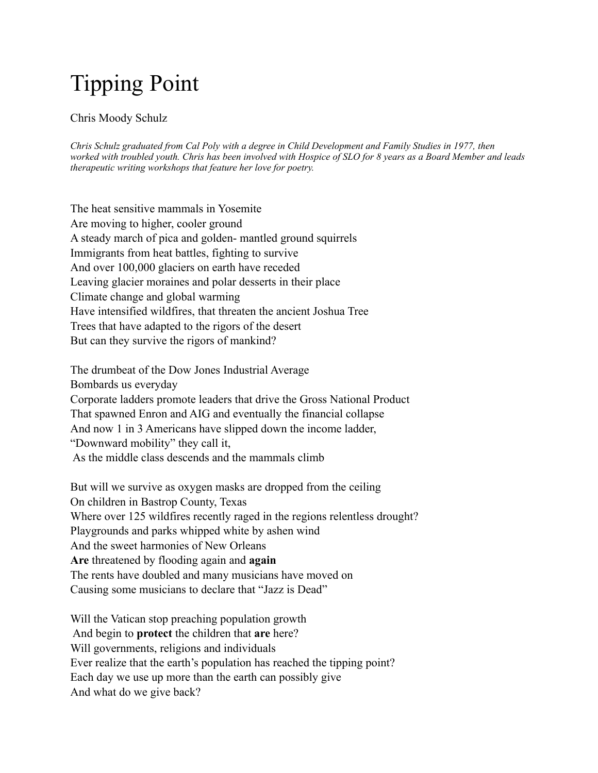## Tipping Point

## Chris Moody Schulz

*Chris Schulz graduated from Cal Poly with a degree in Child Development and Family Studies in 1977, then worked with troubled youth. Chris has been involved with Hospice of SLO for 8 years as a Board Member and leads therapeutic writing workshops that feature her love for poetry.* 

The heat sensitive mammals in Yosemite Are moving to higher, cooler ground A steady march of pica and golden- mantled ground squirrels Immigrants from heat battles, fighting to survive And over 100,000 glaciers on earth have receded Leaving glacier moraines and polar desserts in their place Climate change and global warming Have intensified wildfires, that threaten the ancient Joshua Tree Trees that have adapted to the rigors of the desert But can they survive the rigors of mankind?

The drumbeat of the Dow Jones Industrial Average Bombards us everyday Corporate ladders promote leaders that drive the Gross National Product That spawned Enron and AIG and eventually the financial collapse And now 1 in 3 Americans have slipped down the income ladder, "Downward mobility" they call it, As the middle class descends and the mammals climb

But will we survive as oxygen masks are dropped from the ceiling On children in Bastrop County, Texas Where over 125 wildfires recently raged in the regions relentless drought? Playgrounds and parks whipped white by ashen wind And the sweet harmonies of New Orleans **Are** threatened by flooding again and **again** The rents have doubled and many musicians have moved on Causing some musicians to declare that "Jazz is Dead"

Will the Vatican stop preaching population growth And begin to **protect** the children that **are** here? Will governments, religions and individuals Ever realize that the earth's population has reached the tipping point? Each day we use up more than the earth can possibly give And what do we give back?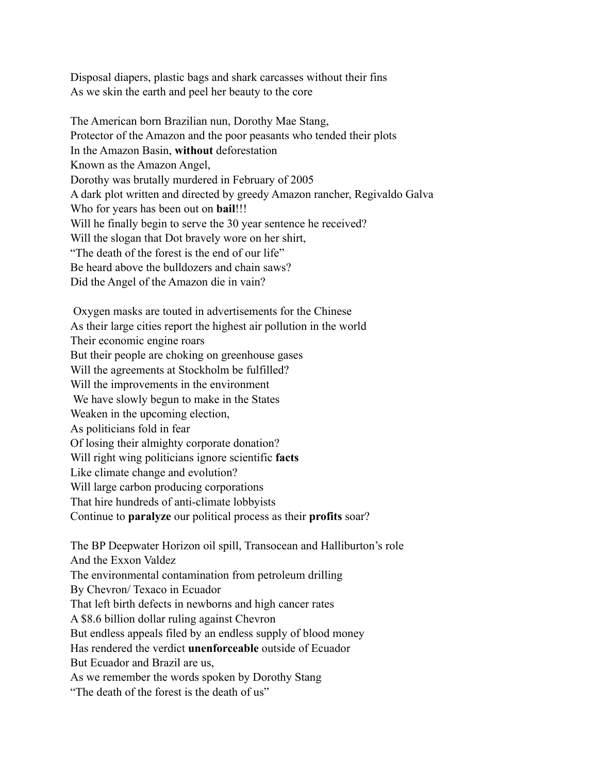Disposal diapers, plastic bags and shark carcasses without their fins As we skin the earth and peel her beauty to the core

The American born Brazilian nun, Dorothy Mae Stang, Protector of the Amazon and the poor peasants who tended their plots In the Amazon Basin, **without** deforestation Known as the Amazon Angel, Dorothy was brutally murdered in February of 2005 A dark plot written and directed by greedy Amazon rancher, Regivaldo Galva Who for years has been out on **bail**!!! Will he finally begin to serve the 30 year sentence he received? Will the slogan that Dot bravely wore on her shirt, "The death of the forest is the end of our life" Be heard above the bulldozers and chain saws? Did the Angel of the Amazon die in vain?

 Oxygen masks are touted in advertisements for the Chinese As their large cities report the highest air pollution in the world Their economic engine roars But their people are choking on greenhouse gases Will the agreements at Stockholm be fulfilled? Will the improvements in the environment We have slowly begun to make in the States Weaken in the upcoming election, As politicians fold in fear Of losing their almighty corporate donation? Will right wing politicians ignore scientific **facts** Like climate change and evolution? Will large carbon producing corporations That hire hundreds of anti-climate lobbyists Continue to **paralyze** our political process as their **profits** soar? The BP Deepwater Horizon oil spill, Transocean and Halliburton's role And the Exxon Valdez The environmental contamination from petroleum drilling By Chevron/ Texaco in Ecuador That left birth defects in newborns and high cancer rates A \$8.6 billion dollar ruling against Chevron But endless appeals filed by an endless supply of blood money Has rendered the verdict **unenforceable** outside of Ecuador But Ecuador and Brazil are us,

As we remember the words spoken by Dorothy Stang

"The death of the forest is the death of us"